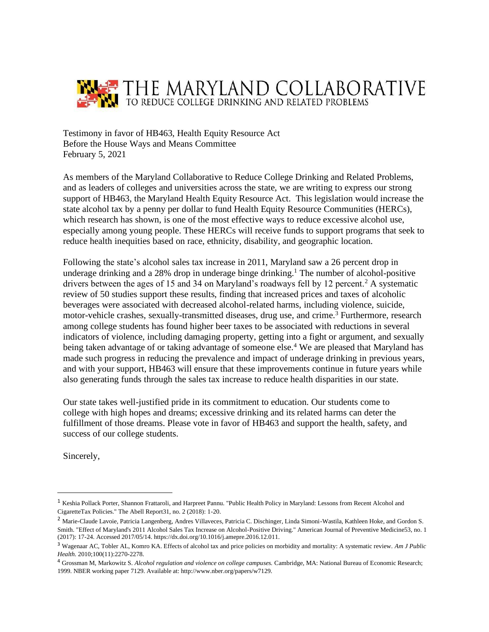

Testimony in favor of HB463, Health Equity Resource Act Before the House Ways and Means Committee February 5, 2021

As members of the Maryland Collaborative to Reduce College Drinking and Related Problems, and as leaders of colleges and universities across the state, we are writing to express our strong support of HB463, the Maryland Health Equity Resource Act. This legislation would increase the state alcohol tax by a penny per dollar to fund Health Equity Resource Communities (HERCs), which research has shown, is one of the most effective ways to reduce excessive alcohol use, especially among young people. These HERCs will receive funds to support programs that seek to reduce health inequities based on race, ethnicity, disability, and geographic location.

Following the state's alcohol sales tax increase in 2011, Maryland saw a 26 percent drop in underage drinking and a 28% drop in underage binge drinking.<sup>1</sup> The number of alcohol-positive drivers between the ages of 15 and 34 on Maryland's roadways fell by 12 percent.<sup>2</sup> A systematic review of 50 studies support these results, finding that increased prices and taxes of alcoholic beverages were associated with decreased alcohol-related harms, including violence, suicide, motor-vehicle crashes, sexually-transmitted diseases, drug use, and crime.<sup>3</sup> Furthermore, research among college students has found higher beer taxes to be associated with reductions in several indicators of violence, including damaging property, getting into a fight or argument, and sexually being taken advantage of or taking advantage of someone else.<sup>4</sup> We are pleased that Maryland has made such progress in reducing the prevalence and impact of underage drinking in previous years, and with your support, HB463 will ensure that these improvements continue in future years while also generating funds through the sales tax increase to reduce health disparities in our state.

Our state takes well-justified pride in its commitment to education. Our students come to college with high hopes and dreams; excessive drinking and its related harms can deter the fulfillment of those dreams. Please vote in favor of HB463 and support the health, safety, and success of our college students.

Sincerely,

<sup>&</sup>lt;sup>1</sup> Keshia Pollack Porter, Shannon Frattaroli, and Harpreet Pannu. "Public Health Policy in Maryland: Lessons from Recent Alcohol and CigaretteTax Policies." The Abell Report31, no. 2 (2018): 1-20.

<sup>&</sup>lt;sup>2</sup> Marie-Claude Lavoie, Patricia Langenberg, Andres Villaveces, Patricia C. Dischinger, Linda Simoni-Wastila, Kathleen Hoke, and Gordon S. Smith. "Effect of Maryland's 2011 Alcohol Sales Tax Increase on Alcohol-Positive Driving." American Journal of Preventive Medicine53, no. 1 (2017): 17-24. Accessed 2017/05/14. https://dx.doi.org/10.1016/j.amepre.2016.12.011.

<sup>3</sup> Wagenaar AC, Tobler AL, Komro KA. Effects of alcohol tax and price policies on morbidity and mortality: A systematic review. *Am J Public Health.* 2010;100(11):2270-2278.

<sup>4</sup> Grossman M, Markowitz S. *Alcohol regulation and violence on college campuses.* Cambridge, MA: National Bureau of Economic Research; 1999. NBER working paper 7129. Available at: http://www.nber.org/papers/w7129.